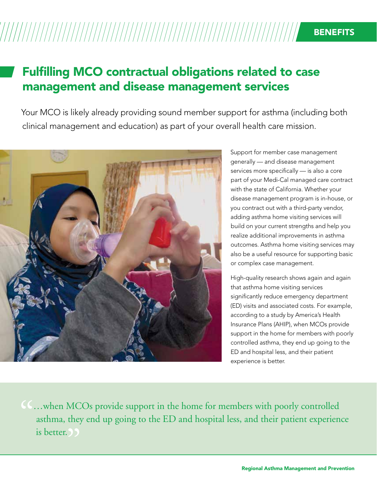## Fulfilling MCO contractual obligations related to case management and disease management services

Your MCO is likely already providing sound member support for asthma (including both clinical management and education) as part of your overall health care mission.



Support for member case management generally — and disease management services more specifically — is also a core part of your Medi-Cal managed care contract with the state of California. Whether your disease management program is in-house, or you contract out with a third-party vendor, adding asthma home visiting services will build on your current strengths and help you realize additional improvements in asthma outcomes. Asthma home visiting services may also be a useful resource for supporting basic or complex case management.

High-quality research shows again and again that asthma home visiting services significantly reduce emergency department (ED) visits and associated costs. For example, according to a study by America's Health Insurance Plans (AHIP), when MCOs provide support in the home for members with poorly controlled asthma, they end up going to the ED and hospital less, and their patient experience is better.

**CC...** when MCOs provide support in the home for members with poorly controlled asthma, they end up going to the ED and hospital less, and their patient experiencies better. asthma, they end up going to the ED and hospital less, and their patient experience is better. 
(*)*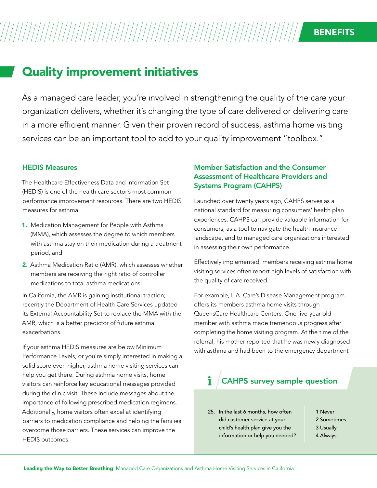# Quality improvement initiatives

As a managed care leader, you're involved in strengthening the quality of the care your organization delivers, whether it's changing the type of care delivered or delivering care in a more efficient manner. Given their proven record of success, asthma home visiting services can be an important tool to add to your quality improvement "toolbox."

#### HEDIS Measures

The Healthcare Effectiveness Data and Information Set (HEDIS) is one of the health care sector's most common performance improvement resources. There are two HEDIS measures for asthma:

- 1. Medication Management for People with Asthma (MMA), which assesses the degree to which members with asthma stay on their medication during a treatment period, and
- 2. Asthma Medication Ratio (AMR), which assesses whether members are receiving the right ratio of controller medications to total asthma medications.

In California, the AMR is gaining institutional traction; recently the Department of Health Care Services updated its External Accountability Set to replace the MMA with the AMR, which is a better predictor of future asthma exacerbations.

If your asthma HEDIS measures are below Minimum Performance Levels, or you're simply interested in making a solid score even higher, asthma home visiting services can help you get there. During asthma home visits, home visitors can reinforce key educational messages provided during the clinic visit. These include messages about the importance of following prescribed medication regimens. Additionally, home visitors often excel at identifying barriers to medication compliance and helping the families overcome those barriers. These services can improve the HEDIS outcomes.

### Member Satisfaction and the Consumer Assessment of Healthcare Providers and Systems Program (CAHPS)

Launched over twenty years ago, CAHPS serves as a national standard for measuring consumers' health plan experiences. CAHPS can provide valuable information for consumers, as a tool to navigate the health insurance landscape, and to managed care organizations interested in assessing their own performance.

Effectively implemented, members receiving asthma home visiting services often report high levels of satisfaction with the quality of care received.

For example, L.A. Care's Disease Management program offers its members asthma home visits through QueensCare Healthcare Centers. One five-year old member with asthma made tremendous progress after completing the home visiting program. At the time of the referral, his mother reported that he was newly diagnosed with asthma and had been to the emergency department

#### i CAHPS survey sample question

25. In the last 6 months, how often did customer service at your child's health plan give you the information or help you needed?

- 1 Never 2 Sometimes 3 Usually
- 4 Always